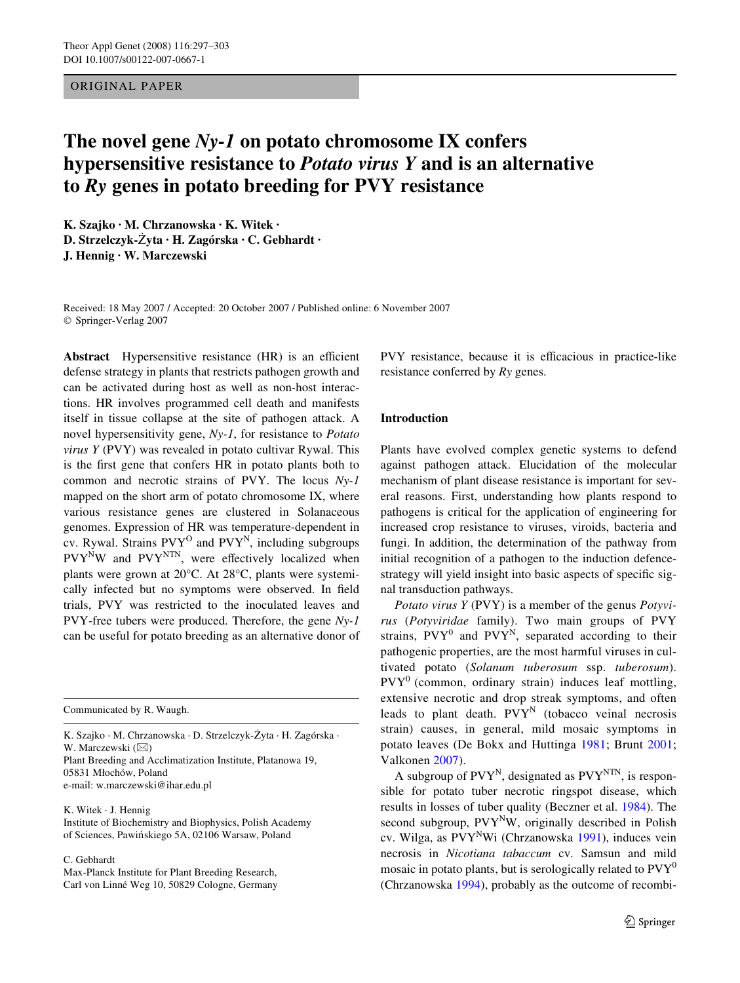# ORIGINAL PAPER

# **The novel gene** *Ny-1* **on potato chromosome IX confers hypersensitive resistance to** *Potato virus Y* **and is an alternative to** *Ry* **genes in potato breeding for PVY resistance**

**K. Szajko · M. Chrzanowska · K. Witek · D. Strzelczyk-ôyta · H. Zagórska · C. Gebhardt · J. Hennig · W. Marczewski** 

Received: 18 May 2007 / Accepted: 20 October 2007 / Published online: 6 November 2007 © Springer-Verlag 2007

**Abstract** Hypersensitive resistance (HR) is an efficient defense strategy in plants that restricts pathogen growth and can be activated during host as well as non-host interactions. HR involves programmed cell death and manifests itself in tissue collapse at the site of pathogen attack. A novel hypersensitivity gene, *Ny-1*, for resistance to *Potato virus Y* (PVY) was revealed in potato cultivar Rywal. This is the first gene that confers HR in potato plants both to common and necrotic strains of PVY. The locus *Ny-1* mapped on the short arm of potato chromosome IX, where various resistance genes are clustered in Solanaceous genomes. Expression of HR was temperature-dependent in cv. Rywal. Strains  $PVT^{O}$  and  $PVT^{N}$ , including subgroups  $PVY^NW$  and  $PVY^{NTN}$ , were effectively localized when plants were grown at 20°C. At 28°C, plants were systemically infected but no symptoms were observed. In field trials, PVY was restricted to the inoculated leaves and PVY-free tubers were produced. Therefore, the gene *Ny-1* can be useful for potato breeding as an alternative donor of

Communicated by R. Waugh.

K. Szajko · M. Chrzanowska · D. Strzelczyk-Żyta · H. Zagórska · W. Marczewski  $(\boxtimes)$ Plant Breeding and Acclimatization Institute, Platanowa 19, 05831 Miochów, Poland

e-mail: w.marczewski@ihar.edu.pl

K. Witek · J. Hennig Institute of Biochemistry and Biophysics, Polish Academy of Sciences, Pawińskiego 5A, 02106 Warsaw, Poland

C. Gebhardt

Max-Planck Institute for Plant Breeding Research, Carl von Linné Weg 10, 50829 Cologne, Germany PVY resistance, because it is efficacious in practice-like resistance conferred by *Ry* genes.

## **Introduction**

Plants have evolved complex genetic systems to defend against pathogen attack. Elucidation of the molecular mechanism of plant disease resistance is important for several reasons. First, understanding how plants respond to pathogens is critical for the application of engineering for increased crop resistance to viruses, viroids, bacteria and fungi. In addition, the determination of the pathway from initial recognition of a pathogen to the induction defencestrategy will yield insight into basic aspects of specific signal transduction pathways.

*Potato virus Y* (PVY) is a member of the genus *Potyvirus* (*Potyviridae* family). Two main groups of PVY strains,  $P VY^0$  and  $P VY^N$ , separated according to their pathogenic properties, are the most harmful viruses in cultivated potato (*Solanum tuberosum* ssp. *tuberosum*).  $PVT<sup>0</sup>$  (common, ordinary strain) induces leaf mottling, extensive necrotic and drop streak symptoms, and often leads to plant death.  $PVT^N$  (tobacco veinal necrosis strain) causes, in general, mild mosaic symptoms in potato leaves (De Bokx and Huttinga [1981;](#page-5-0) Brunt [2001](#page-5-1); Valkonen [2007](#page-6-0)).

A subgroup of  $PVY^N$ , designated as  $PVY^{NTN}$ , is responsible for potato tuber necrotic ringspot disease, which results in losses of tuber quality (Beczner et al. [1984\)](#page-5-2). The second subgroup,  $PVT^NW$ , originally described in Polish cv. Wilga, as PVY<sup>N</sup>Wi (Chrzanowska [1991](#page-5-3)), induces vein necrosis in *Nicotiana tabaccum* cv. Samsun and mild mosaic in potato plants, but is serologically related to  $PVT<sup>0</sup>$ (Chrzanowska [1994\)](#page-5-4), probably as the outcome of recombi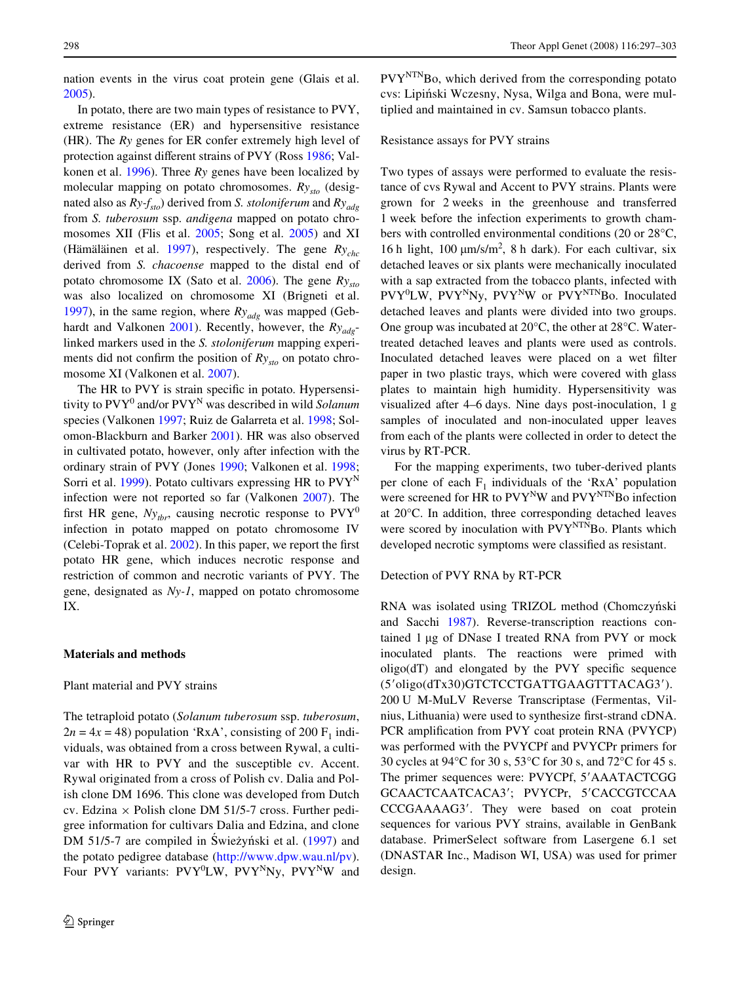nation events in the virus coat protein gene (Glais et al. [2005](#page-5-5)).

In potato, there are two main types of resistance to PVY, extreme resistance (ER) and hypersensitive resistance (HR). The *Ry* genes for ER confer extremely high level of protection against different strains of PVY (Ross [1986](#page-5-6); Valkonen et al. [1996](#page-6-1)). Three *Ry* genes have been localized by molecular mapping on potato chromosomes. *Rysto* (designated also as  $Ry-f_{sto}$ ) derived from *S. stoloniferum* and  $Ry_{qde}$ from *S. tuberosum* ssp. *andigena* mapped on potato chromosomes XII (Flis et al. [2005](#page-5-7); Song et al. [2005](#page-5-8)) and XI (Hämäläinen et al. [1997](#page-5-9)), respectively. The gene *Rychc* derived from *S. chacoense* mapped to the distal end of potato chromosome IX (Sato et al. [2006\)](#page-5-10). The gene *Rysto* was also localized on chromosome XI (Brigneti et al. [1997](#page-5-11)), in the same region, where  $Ry_{adg}$  was mapped (Gebhardt and Valkonen [2001](#page-5-12)). Recently, however, the *Ryadg*linked markers used in the *S. stoloniferum* mapping experiments did not confirm the position of  $Ry_{sto}$  on potato chromosome XI (Valkonen et al. [2007](#page-6-2)).

The HR to PVY is strain specific in potato. Hypersensitivity to PVY<sup>0</sup> and/or PVYN was described in wild *Solanum* species (Valkonen [1997](#page-6-3); Ruiz de Galarreta et al. [1998](#page-5-13); Solomon-Blackburn and Barker [2001\)](#page-5-14). HR was also observed in cultivated potato, however, only after infection with the ordinary strain of PVY (Jones [1990](#page-5-15); Valkonen et al. [1998](#page-6-4); Sorri et al. [1999](#page-5-16)). Potato cultivars expressing HR to  $PVY^N$ infection were not reported so far (Valkonen [2007\)](#page-6-0). The first HR gene,  $Ny_{thr}$ , causing necrotic response to  $PVT<sup>0</sup>$ infection in potato mapped on potato chromosome IV (Celebi-Toprak et al.  $2002$ ). In this paper, we report the first potato HR gene, which induces necrotic response and restriction of common and necrotic variants of PVY. The gene, designated as *Ny-1*, mapped on potato chromosome IX.

## **Materials and methods**

# Plant material and PVY strains

The tetraploid potato (*Solanum tuberosum* ssp. *tuberosum*,  $2n = 4x = 48$ ) population 'RxA', consisting of 200 F<sub>1</sub> individuals, was obtained from a cross between Rywal, a cultivar with HR to PVY and the susceptible cv. Accent. Rywal originated from a cross of Polish cv. Dalia and Polish clone DM 1696. This clone was developed from Dutch cv. Edzina  $\times$  Polish clone DM 51/5-7 cross. Further pedigree information for cultivars Dalia and Edzina, and clone DM 51/5-7 are compiled in Świeżyński et al. [\(1997\)](#page-6-5) and the potato pedigree database [\(http://www.dpw.wau.nl/pv](http://www.dpw.wau.nl/pv)). Four PVY variants: PVY<sup>0</sup>LW, PVY<sup>N</sup>Ny, PVY<sup>N</sup>W and

 $PVY<sup>NTN</sup>Bo$ , which derived from the corresponding potato cvs: Lipiński Wczesny, Nysa, Wilga and Bona, were multiplied and maintained in cv. Samsun tobacco plants.

# Resistance assays for PVY strains

Two types of assays were performed to evaluate the resistance of cvs Rywal and Accent to PVY strains. Plants were grown for 2 weeks in the greenhouse and transferred 1 week before the infection experiments to growth chambers with controlled environmental conditions (20 or 28°C, 16 h light, 100  $\mu$ m/s/m<sup>2</sup>, 8 h dark). For each cultivar, six detached leaves or six plants were mechanically inoculated with a sap extracted from the tobacco plants, infected with PVY<sup>0</sup>LW, PVY<sup>N</sup>Ny, PVY<sup>N</sup>W or PVY<sup>NTN</sup>Bo. Inoculated detached leaves and plants were divided into two groups. One group was incubated at 20°C, the other at 28°C. Watertreated detached leaves and plants were used as controls. Inoculated detached leaves were placed on a wet filter paper in two plastic trays, which were covered with glass plates to maintain high humidity. Hypersensitivity was visualized after 4–6 days. Nine days post-inoculation, 1 g samples of inoculated and non-inoculated upper leaves from each of the plants were collected in order to detect the virus by RT-PCR.

For the mapping experiments, two tuber-derived plants per clone of each  $F_1$  individuals of the 'RxA' population were screened for HR to PVY<sup>N</sup>W and PVY<sup>NTN</sup>Bo infection at 20°C. In addition, three corresponding detached leaves were scored by inoculation with PVY<sup>NTN</sup>Bo. Plants which developed necrotic symptoms were classified as resistant.

## Detection of PVY RNA by RT-PCR

RNA was isolated using TRIZOL method (Chomczyński and Sacchi [1987\)](#page-5-18). Reverse-transcription reactions contained  $1 \mu$ g of DNase I treated RNA from PVY or mock inoculated plants. The reactions were primed with  $oligo(dT)$  and elongated by the PVY specific sequence (5'oligo(dTx30)GTCTCCTGATTGAAGTTTACAG3'). 200 U M-MuLV Reverse Transcriptase (Fermentas, Vilnius, Lithuania) were used to synthesize first-strand cDNA. PCR amplification from PVY coat protein RNA (PVYCP) was performed with the PVYCPf and PVYCPr primers for 30 cycles at 94°C for 30 s, 53°C for 30 s, and 72°C for 45 s. The primer sequences were: PVYCPf, 5'AAATACTCGG GCAACTCAATCACA3'; PVYCPr, 5'CACCGTCCAA CCCGAAAAG3'. They were based on coat protein sequences for various PVY strains, available in GenBank database. PrimerSelect software from Lasergene 6.1 set (DNASTAR Inc., Madison WI, USA) was used for primer design.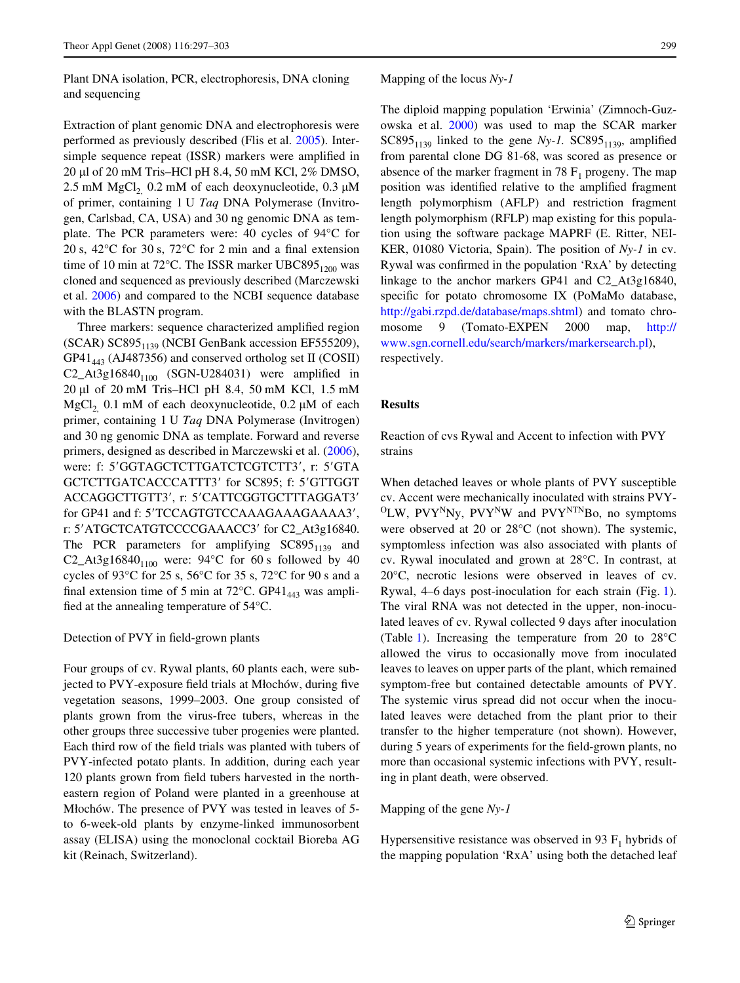Plant DNA isolation, PCR, electrophoresis, DNA cloning and sequencing

Extraction of plant genomic DNA and electrophoresis were performed as previously described (Flis et al. [2005](#page-5-7)). Intersimple sequence repeat (ISSR) markers were amplified in 20 μl of 20 mM Tris-HCl pH 8.4, 50 mM KCl, 2% DMSO, 2.5 mM  $MgCl<sub>2</sub>$  0.2 mM of each deoxynucleotide, 0.3  $\mu$ M of primer, containing 1 U *Taq* DNA Polymerase (Invitrogen, Carlsbad, CA, USA) and 30 ng genomic DNA as template. The PCR parameters were: 40 cycles of 94°C for 20 s, 42 $^{\circ}$ C for 30 s, 72 $^{\circ}$ C for 2 min and a final extension time of 10 min at 72°C. The ISSR marker UBC895 $_{1200}$  was cloned and sequenced as previously described (Marczewski et al. [2006\)](#page-5-19) and compared to the NCBI sequence database with the BLASTN program.

Three markers: sequence characterized amplified region  $(SCAR)$   $SC895<sub>1139</sub>$  (NCBI GenBank accession EF555209), GP41<sub>443</sub> (AJ487356) and conserved ortholog set II (COSII)  $C2\_At3g16840<sub>1100</sub>$  (SGN-U284031) were amplified in  $20 \mu l$  of  $20 \mu M$  Tris–HCl pH 8.4, 50 mM KCl, 1.5 mM MgCl<sub>2</sub> 0.1 mM of each deoxynucleotide, 0.2  $\mu$ M of each primer, containing 1 U *Taq* DNA Polymerase (Invitrogen) and 30 ng genomic DNA as template. Forward and reverse primers, designed as described in Marczewski et al. [\(2006](#page-5-19)), were: f: 5'GGTAGCTCTTGATCTCGTCTT3', r: 5'GTA GCTCTTGATCACCCATTT3' for SC895; f: 5'GTTGGT ACCAGGCTTGTT3', r: 5'CATTCGGTGCTTTAGGAT3' for GP41 and f: 5'TCCAGTGTCCAAAGAAAGAAAA3', r: 5'ATGCTCATGTCCCCGAAACC3' for C2\_At3g16840. The PCR parameters for amplifying  $SC895<sub>1139</sub>$  and C2\_At3g16840<sub>1100</sub> were: 94°C for 60 s followed by 40 cycles of 93°C for 25 s, 56°C for 35 s, 72°C for 90 s and a final extension time of 5 min at 72 $^{\circ}$ C. GP41<sub>443</sub> was amplified at the annealing temperature of  $54^{\circ}$ C.

#### Detection of PVY in field-grown plants

Four groups of cv. Rywal plants, 60 plants each, were subjected to PVY-exposure field trials at Młochów, during five vegetation seasons, 1999–2003. One group consisted of plants grown from the virus-free tubers, whereas in the other groups three successive tuber progenies were planted. Each third row of the field trials was planted with tubers of PVY-infected potato plants. In addition, during each year 120 plants grown from field tubers harvested in the northeastern region of Poland were planted in a greenhouse at Miochów. The presence of PVY was tested in leaves of 5 to 6-week-old plants by enzyme-linked immunosorbent assay (ELISA) using the monoclonal cocktail Bioreba AG kit (Reinach, Switzerland).

## Mapping of the locus *Ny-1*

The diploid mapping population 'Erwinia' (Zimnoch-Guzowska et al. [2000\)](#page-6-6) was used to map the SCAR marker SC895<sub>1139</sub> linked to the gene  $Ny-1$ . SC895<sub>1139</sub>, amplified from parental clone DG 81-68, was scored as presence or absence of the marker fragment in 78  $F_1$  progeny. The map position was identified relative to the amplified fragment length polymorphism (AFLP) and restriction fragment length polymorphism (RFLP) map existing for this population using the software package MAPRF (E. Ritter, NEI-KER, 01080 Victoria, Spain). The position of *Ny-1* in cv. Rywal was confirmed in the population 'RxA' by detecting linkage to the anchor markers GP41 and C2\_At3g16840, specific for potato chromosome IX (PoMaMo database, <http://gabi.rzpd.de/database/maps.shtml>) and tomato chromosome 9 (Tomato-EXPEN 2000 map, [http://](http://www.sgn.cornell.edu/search/markers/markersearch.pl) [www.sgn.cornell.edu/search/markers/markersearch.pl\)](http://www.sgn.cornell.edu/search/markers/markersearch.pl), respectively.

# **Results**

Reaction of cvs Rywal and Accent to infection with PVY strains

When detached leaves or whole plants of PVY susceptible cv. Accent were mechanically inoculated with strains PVY- $O<sub>LW</sub>$ , PVY<sup>N</sup>Ny, PVY<sup>N</sup>W and PVY<sup>NTN</sup>Bo, no symptoms were observed at 20 or 28°C (not shown). The systemic, symptomless infection was also associated with plants of cv. Rywal inoculated and grown at 28°C. In contrast, at 20°C, necrotic lesions were observed in leaves of cv. Rywal, 4–6 days post-inoculation for each strain (Fig. [1\)](#page-3-0). The viral RNA was not detected in the upper, non-inoculated leaves of cv. Rywal collected 9 days after inoculation (Table [1\)](#page-3-1). Increasing the temperature from 20 to 28°C allowed the virus to occasionally move from inoculated leaves to leaves on upper parts of the plant, which remained symptom-free but contained detectable amounts of PVY. The systemic virus spread did not occur when the inoculated leaves were detached from the plant prior to their transfer to the higher temperature (not shown). However, during 5 years of experiments for the field-grown plants, no more than occasional systemic infections with PVY, resulting in plant death, were observed.

### Mapping of the gene *Ny-1*

Hypersensitive resistance was observed in 93  $F_1$  hybrids of the mapping population 'RxA' using both the detached leaf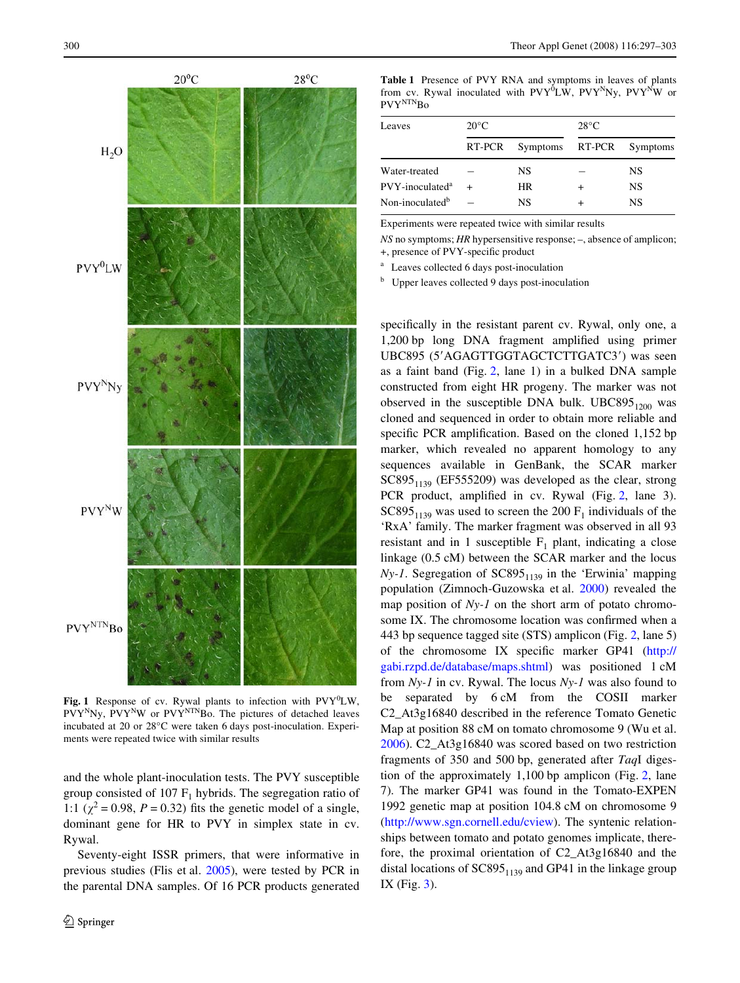

<span id="page-3-0"></span>Fig. 1 Response of cv. Rywal plants to infection with  $PVY^{0}LW$ ,  $PVY^NNy$ ,  $PVY^NW$  or  $PVY^{NTN}Bo$ . The pictures of detached leaves incubated at 20 or 28°C were taken 6 days post-inoculation. Experiments were repeated twice with similar results

and the whole plant-inoculation tests. The PVY susceptible group consisted of 107  $F_1$  hybrids. The segregation ratio of 1:1 ( $\chi^2$  = 0.98, *P* = 0.32) fits the genetic model of a single, dominant gene for HR to PVY in simplex state in cv. Rywal.

Seventy-eight ISSR primers, that were informative in previous studies (Flis et al. [2005\)](#page-5-7), were tested by PCR in the parental DNA samples. Of 16 PCR products generated <span id="page-3-1"></span>**Table 1** Presence of PVY RNA and symptoms in leaves of plants from cv. Rywal inoculated with PVY<sup>0</sup>LW, PVY<sup>N</sup>Ny, PVY<sup>N</sup>W or PVY<sup>NTN</sup>Bo

| Leaves                      | $20^{\circ}$ C |                 | $28^{\circ}$ C |                 |
|-----------------------------|----------------|-----------------|----------------|-----------------|
|                             | RT-PCR         | Symptoms RT-PCR |                | <b>Symptoms</b> |
| Water-treated               |                | NS              |                | NS              |
| PVY-inoculated <sup>a</sup> |                | <b>HR</b>       |                | NS              |
| Non-inoculated <sup>b</sup> |                | NS              |                | NS              |

Experiments were repeated twice with similar results

*NS* no symptoms; *HR* hypersensitive response; –, absence of amplicon; +, presence of PVY-specific product

<sup>a</sup> Leaves collected 6 days post-inoculation

<sup>b</sup> Upper leaves collected 9 days post-inoculation

specifically in the resistant parent cv. Rywal, only one, a 1,200 bp long DNA fragment amplified using primer UBC895 (5'AGAGTTGGTAGCTCTTGATC3') was seen as a faint band (Fig. [2](#page-4-0), lane 1) in a bulked DNA sample constructed from eight HR progeny. The marker was not observed in the susceptible DNA bulk. UBC895 $_{1200}$  was cloned and sequenced in order to obtain more reliable and specific PCR amplification. Based on the cloned  $1,152$  bp marker, which revealed no apparent homology to any sequences available in GenBank, the SCAR marker  $SC895<sub>1139</sub>$  (EF555209) was developed as the clear, strong PCR product, amplified in cv. Rywal (Fig. [2,](#page-4-0) lane 3).  $SC895<sub>1139</sub>$  was used to screen the 200 F<sub>1</sub> individuals of the 'RxA' family. The marker fragment was observed in all 93 resistant and in 1 susceptible  $F_1$  plant, indicating a close linkage (0.5 cM) between the SCAR marker and the locus  $Ny-1$ . Segregation of  $SC895<sub>1139</sub>$  in the 'Erwinia' mapping population (Zimnoch-Guzowska et al. [2000](#page-6-6)) revealed the map position of *Ny-1* on the short arm of potato chromosome IX. The chromosome location was confirmed when a 443 bp sequence tagged site (STS) amplicon (Fig. [2](#page-4-0), lane 5) of the chromosome IX specific marker GP41 [\(http://](http://gabi.rzpd.de/database/maps.shtml) [gabi.rzpd.de/database/maps.shtml](http://gabi.rzpd.de/database/maps.shtml)) was positioned 1 cM from *Ny-1* in cv. Rywal. The locus *Ny-1* was also found to be separated by 6 cM from the COSII marker C2\_At3g16840 described in the reference Tomato Genetic Map at position 88 cM on tomato chromosome 9 (Wu et al. [2006](#page-6-7)). C2\_At3g16840 was scored based on two restriction fragments of 350 and 500 bp, generated after *Taq*I digestion of the approximately 1,100 bp amplicon (Fig. [2](#page-4-0), lane 7). The marker GP41 was found in the Tomato-EXPEN 1992 genetic map at position 104.8 cM on chromosome 9 (<http://www.sgn.cornell.edu/cview>). The syntenic relationships between tomato and potato genomes implicate, therefore, the proximal orientation of C2\_At3g16840 and the distal locations of  $SC895<sub>1139</sub>$  and GP41 in the linkage group IX (Fig. [3\)](#page-4-1).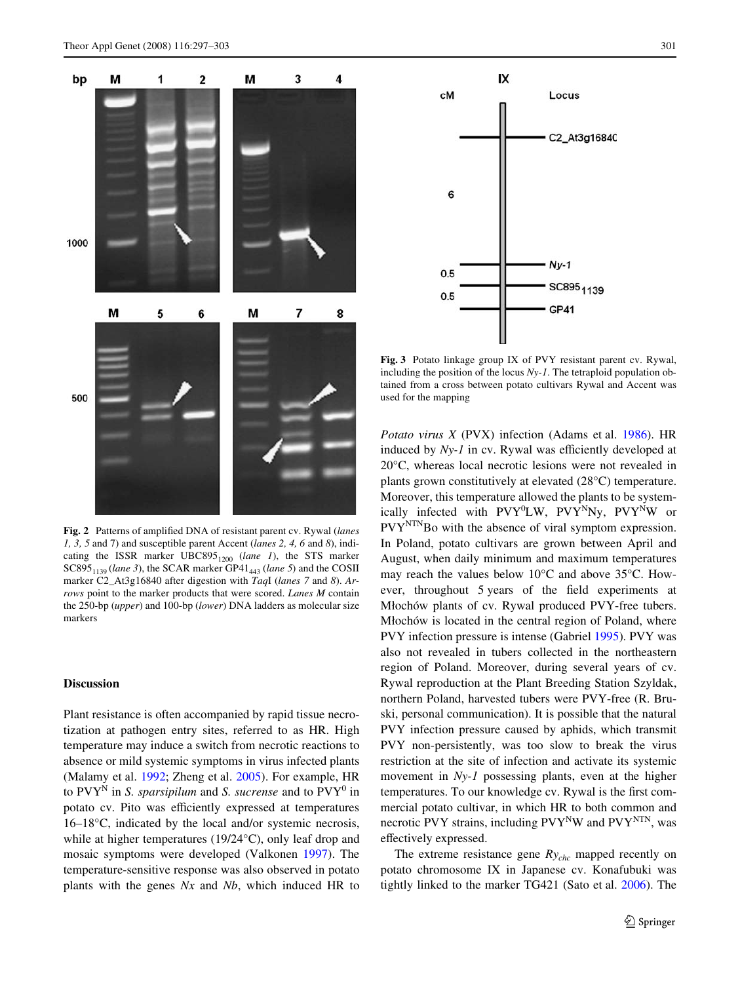

<span id="page-4-0"></span>Fig. 2 Patterns of amplified DNA of resistant parent cv. Rywal (*lanes 1, 3, 5* and 7) and susceptible parent Accent (*lanes 2, 4, 6* and *8*), indicating the ISSR marker UBC895<sub>1200</sub> (lane 1), the STS marker SC895<sub>1139</sub> (*lane 3*), the SCAR marker GP41<sub>443</sub> (*lane 5*) and the COSII marker C2\_At3g16840 after digestion with *Taq*I (*lanes 7* and *8*). *Arrows* point to the marker products that were scored. *Lanes M* contain the 250-bp (*upper*) and 100-bp (*lower*) DNA ladders as molecular size markers

# **Discussion**

Plant resistance is often accompanied by rapid tissue necrotization at pathogen entry sites, referred to as HR. High temperature may induce a switch from necrotic reactions to absence or mild systemic symptoms in virus infected plants (Malamy et al. [1992](#page-5-20); Zheng et al. [2005](#page-6-8)). For example, HR to  $\mathrm{PVY}^{\mathrm{N}}$  in *S. sparsipilum* and *S. sucrense* and to  $\mathrm{PVY}^{0}$  in potato cv. Pito was efficiently expressed at temperatures 16–18°C, indicated by the local and/or systemic necrosis, while at higher temperatures (19/24°C), only leaf drop and mosaic symptoms were developed (Valkonen [1997\)](#page-6-3). The temperature-sensitive response was also observed in potato plants with the genes *Nx* and *Nb*, which induced HR to



<span id="page-4-1"></span>**Fig. 3** Potato linkage group IX of PVY resistant parent cv. Rywal, including the position of the locus *Ny-1*. The tetraploid population obtained from a cross between potato cultivars Rywal and Accent was used for the mapping

*Potato virus X* (PVX) infection (Adams et al. [1986\)](#page-5-21). HR induced by  $Ny-1$  in cv. Rywal was efficiently developed at 20°C, whereas local necrotic lesions were not revealed in plants grown constitutively at elevated (28°C) temperature. Moreover, this temperature allowed the plants to be systemically infected with PVY<sup>0</sup>LW, PVY<sup>N</sup>Ny, PVY<sup>N</sup>W or  $PVY<sup>NTN</sup>Bo$  with the absence of viral symptom expression. In Poland, potato cultivars are grown between April and August, when daily minimum and maximum temperatures may reach the values below 10°C and above 35°C. However, throughout 5 years of the field experiments at Miochów plants of cv. Rywal produced PVY-free tubers. Miochów is located in the central region of Poland, where PVY infection pressure is intense (Gabriel [1995](#page-5-22)). PVY was also not revealed in tubers collected in the northeastern region of Poland. Moreover, during several years of cv. Rywal reproduction at the Plant Breeding Station Szyldak, northern Poland, harvested tubers were PVY-free (R. Bruski, personal communication). It is possible that the natural PVY infection pressure caused by aphids, which transmit PVY non-persistently, was too slow to break the virus restriction at the site of infection and activate its systemic movement in *Ny-1* possessing plants, even at the higher temperatures. To our knowledge cv. Rywal is the first commercial potato cultivar, in which HR to both common and necrotic PVY strains, including  $PVY^NW$  and  $PVY^{NTN}$ , was effectively expressed.

The extreme resistance gene *Rychc* mapped recently on potato chromosome IX in Japanese cv. Konafubuki was tightly linked to the marker TG421 (Sato et al. [2006\)](#page-5-10). The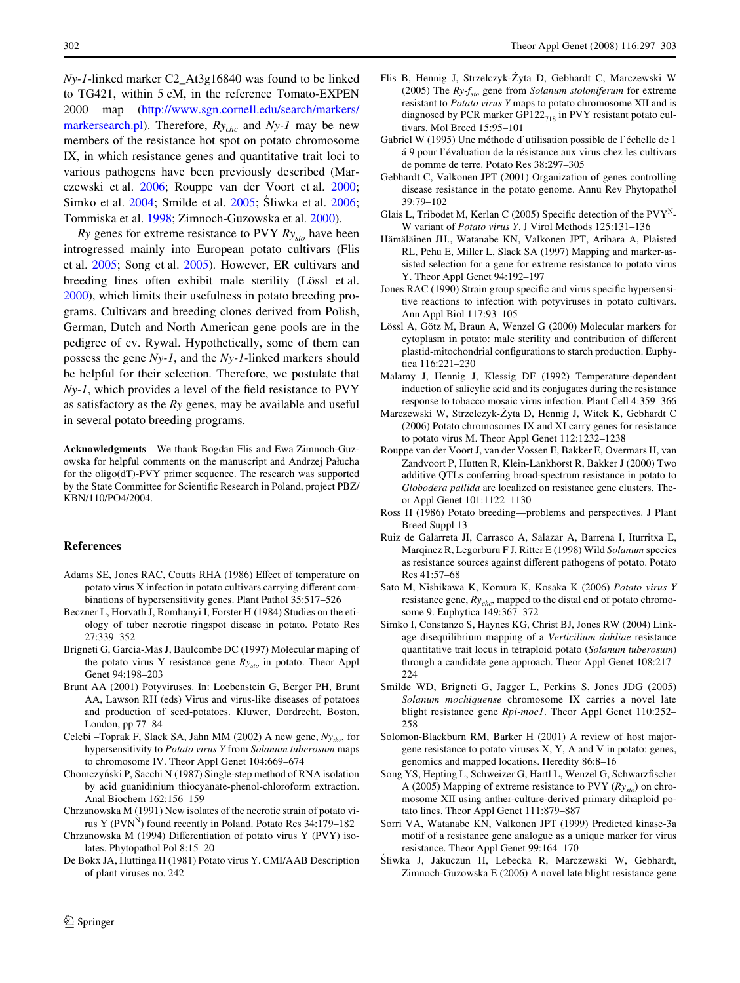*Ny-1*-linked marker C2\_At3g16840 was found to be linked to TG421, within 5 cM, in the reference Tomato-EXPEN 2000 map [\(http://www.sgn.cornell.edu/search/markers/](http://www.sgn.cornell.edu/search/markers/markersearch.pl) [markersearch.pl](http://www.sgn.cornell.edu/search/markers/markersearch.pl)). Therefore,  $Ry_{chc}$  and  $Ny-1$  may be new members of the resistance hot spot on potato chromosome IX, in which resistance genes and quantitative trait loci to various pathogens have been previously described (Marczewski et al. [2006;](#page-5-19) Rouppe van der Voort et al. [2000](#page-5-23); Simko et al. [2004;](#page-5-24) Smilde et al. [2005;](#page-5-25) Sliwka et al. [2006](#page-5-26); Tommiska et al. [1998](#page-6-9); Zimnoch-Guzowska et al. [2000\)](#page-6-6).

*Ry* genes for extreme resistance to PVY *Rysto* have been introgressed mainly into European potato cultivars (Flis et al. [2005](#page-5-7); Song et al. [2005\)](#page-5-8). However, ER cultivars and breeding lines often exhibit male sterility (Lössl et al. [2000](#page-5-27)), which limits their usefulness in potato breeding programs. Cultivars and breeding clones derived from Polish, German, Dutch and North American gene pools are in the pedigree of cv. Rywal. Hypothetically, some of them can possess the gene *Ny-1*, and the *Ny-1-*linked markers should be helpful for their selection*.* Therefore, we postulate that  $Ny-1$ , which provides a level of the field resistance to PVY as satisfactory as the *Ry* genes, may be available and useful in several potato breeding programs.

**Acknowledgments** We thank Bogdan Flis and Ewa Zimnoch-Guzowska for helpful comments on the manuscript and Andrzej Pałucha for the oligo(dT)-PVY primer sequence. The research was supported by the State Committee for Scientific Research in Poland, project PBZ/ KBN/110/PO4/2004.

#### **References**

- <span id="page-5-21"></span>Adams SE, Jones RAC, Coutts RHA (1986) Effect of temperature on potato virus X infection in potato cultivars carrying different combinations of hypersensitivity genes. Plant Pathol 35:517–526
- <span id="page-5-2"></span>Beczner L, Horvath J, Romhanyi I, Forster H (1984) Studies on the etiology of tuber necrotic ringspot disease in potato. Potato Res 27:339–352
- <span id="page-5-11"></span>Brigneti G, Garcia-Mas J, Baulcombe DC (1997) Molecular maping of the potato virus Y resistance gene *Rysto* in potato. Theor Appl Genet 94:198–203
- <span id="page-5-1"></span>Brunt AA (2001) Potyviruses. In: Loebenstein G, Berger PH, Brunt AA, Lawson RH (eds) Virus and virus-like diseases of potatoes and production of seed-potatoes. Kluwer, Dordrecht, Boston, London, pp 77–84
- <span id="page-5-17"></span>Celebi –Toprak F, Slack SA, Jahn MM (2002) A new gene,  $Ny_{thr}$ , for hypersensitivity to *Potato virus Y* from *Solanum tuberosum* maps to chromosome IV. Theor Appl Genet 104:669–674
- <span id="page-5-18"></span>Chomczyjski P, Sacchi N (1987) Single-step method of RNA isolation by acid guanidinium thiocyanate-phenol-chloroform extraction. Anal Biochem 162:156–159
- <span id="page-5-3"></span>Chrzanowska M (1991) New isolates of the necrotic strain of potato virus Y $(PVN^N)$  found recently in Poland. Potato Res 34:179-182
- <span id="page-5-4"></span>Chrzanowska M (1994) Differentiation of potato virus Y (PVY) isolates. Phytopathol Pol 8:15–20
- <span id="page-5-0"></span>De Bokx JA, Huttinga H (1981) Potato virus Y. CMI/AAB Description of plant viruses no. 242
- <span id="page-5-7"></span>Flis B, Hennig J, Strzelczyk-Żyta D, Gebhardt C, Marczewski W (2005) The *Ry-fsto* gene from *Solanum stoloniferum* for extreme resistant to *Potato virus Y* maps to potato chromosome XII and is diagnosed by PCR marker GP122 $_{718}$  in PVY resistant potato cultivars. Mol Breed 15:95–101
- <span id="page-5-22"></span>Gabriel W (1995) Une méthode d'utilisation possible de l'échelle de 1 á 9 pour l'évaluation de la résistance aux virus chez les cultivars de pomme de terre. Potato Res 38:297–305
- <span id="page-5-12"></span>Gebhardt C, Valkonen JPT (2001) Organization of genes controlling disease resistance in the potato genome. Annu Rev Phytopathol 39:79–102
- <span id="page-5-5"></span>Glais L, Tribodet M, Kerlan C (2005) Specific detection of the  $PVT<sup>N</sup>$ -W variant of *Potato virus Y*. J Virol Methods 125:131–136
- <span id="page-5-9"></span>Hämäläinen JH., Watanabe KN, Valkonen JPT, Arihara A, Plaisted RL, Pehu E, Miller L, Slack SA (1997) Mapping and marker-assisted selection for a gene for extreme resistance to potato virus Y. Theor Appl Genet 94:192–197
- <span id="page-5-15"></span>Jones RAC (1990) Strain group specific and virus specific hypersensitive reactions to infection with potyviruses in potato cultivars. Ann Appl Biol 117:93–105
- <span id="page-5-27"></span>Lössl A, Götz M, Braun A, Wenzel G (2000) Molecular markers for cytoplasm in potato: male sterility and contribution of different plastid-mitochondrial configurations to starch production. Euphytica 116:221–230
- <span id="page-5-20"></span>Malamy J, Hennig J, Klessig DF (1992) Temperature-dependent induction of salicylic acid and its conjugates during the resistance response to tobacco mosaic virus infection. Plant Cell 4:359–366
- <span id="page-5-19"></span>Marczewski W, Strzelczyk-Żyta D, Hennig J, Witek K, Gebhardt C (2006) Potato chromosomes IX and XI carry genes for resistance to potato virus M. Theor Appl Genet 112:1232–1238
- <span id="page-5-23"></span>Rouppe van der Voort J, van der Vossen E, Bakker E, Overmars H, van Zandvoort P, Hutten R, Klein-Lankhorst R, Bakker J (2000) Two additive QTLs conferring broad-spectrum resistance in potato to *Globodera pallida* are localized on resistance gene clusters. Theor Appl Genet 101:1122–1130
- <span id="page-5-6"></span>Ross H (1986) Potato breeding—problems and perspectives. J Plant Breed Suppl 13
- <span id="page-5-13"></span>Ruiz de Galarreta JI, Carrasco A, Salazar A, Barrena I, Iturritxa E, Marqinez R, Legorburu F J, Ritter E (1998) Wild *Solanum* species as resistance sources against different pathogens of potato. Potato Res 41:57–68
- <span id="page-5-10"></span>Sato M, Nishikawa K, Komura K, Kosaka K (2006) *Potato virus Y* resistance gene,  $Ry_{chc}$ , mapped to the distal end of potato chromosome 9. Euphytica 149:367–372
- <span id="page-5-24"></span>Simko I, Constanzo S, Haynes KG, Christ BJ, Jones RW (2004) Linkage disequilibrium mapping of a *Verticilium dahliae* resistance quantitative trait locus in tetraploid potato (*Solanum tuberosum*) through a candidate gene approach. Theor Appl Genet 108:217– 224
- <span id="page-5-25"></span>Smilde WD, Brigneti G, Jagger L, Perkins S, Jones JDG (2005) *Solanum mochiquense* chromosome IX carries a novel late blight resistance gene *Rpi-moc1*. Theor Appl Genet 110:252– 258
- <span id="page-5-14"></span>Solomon-Blackburn RM, Barker H (2001) A review of host majorgene resistance to potato viruses X, Y, A and V in potato: genes, genomics and mapped locations. Heredity 86:8–16
- <span id="page-5-8"></span>Song YS, Hepting L, Schweizer G, Hartl L, Wenzel G, Schwarzfischer A (2005) Mapping of extreme resistance to PVY (*Rysto*) on chromosome XII using anther-culture-derived primary dihaploid potato lines. Theor Appl Genet 111:879–887
- <span id="page-5-16"></span>Sorri VA, Watanabe KN, Valkonen JPT (1999) Predicted kinase-3a motif of a resistance gene analogue as a unique marker for virus resistance. Theor Appl Genet 99:164–170
- <span id="page-5-26"></span>Sliwka J, Jakuczun H, Lebecka R, Marczewski W, Gebhardt, Zimnoch-Guzowska E (2006) A novel late blight resistance gene